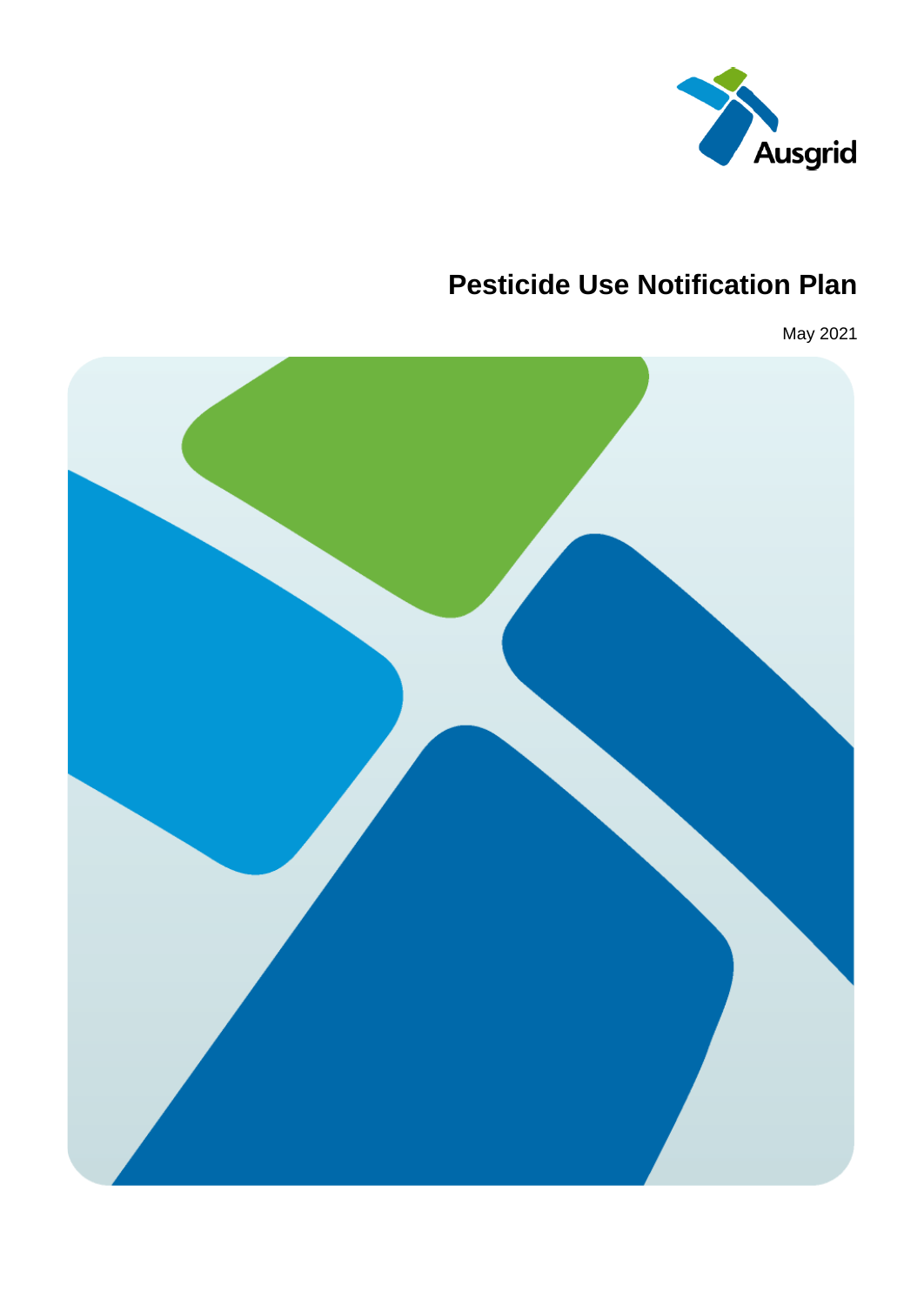

### **Pesticide Use Notification Plan**

May 2021

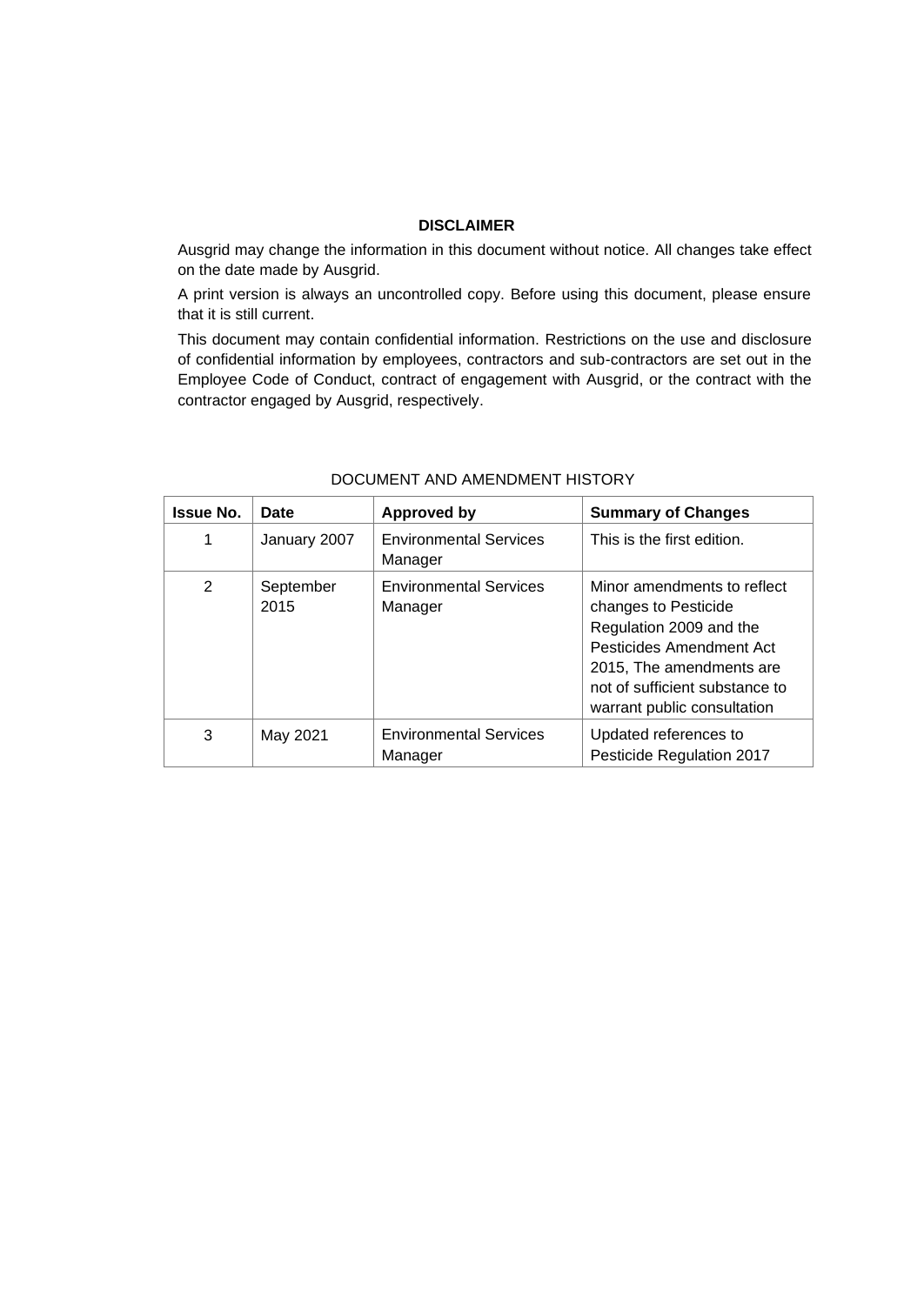#### **DISCLAIMER**

Ausgrid may change the information in this document without notice. All changes take effect on the date made by Ausgrid.

A print version is always an uncontrolled copy. Before using this document, please ensure that it is still current.

This document may contain confidential information. Restrictions on the use and disclosure of confidential information by employees, contractors and sub-contractors are set out in the Employee Code of Conduct, contract of engagement with Ausgrid, or the contract with the contractor engaged by Ausgrid, respectively.

| <b>Issue No.</b> | Date              | <b>Approved by</b>                       | <b>Summary of Changes</b>                                                                                                                                                                               |
|------------------|-------------------|------------------------------------------|---------------------------------------------------------------------------------------------------------------------------------------------------------------------------------------------------------|
| 1                | January 2007      | <b>Environmental Services</b><br>Manager | This is the first edition.                                                                                                                                                                              |
| 2                | September<br>2015 | <b>Environmental Services</b><br>Manager | Minor amendments to reflect<br>changes to Pesticide<br>Regulation 2009 and the<br>Pesticides Amendment Act<br>2015, The amendments are<br>not of sufficient substance to<br>warrant public consultation |
| 3                | May 2021          | <b>Environmental Services</b><br>Manager | Updated references to<br>Pesticide Regulation 2017                                                                                                                                                      |

#### DOCUMENT AND AMENDMENT HISTORY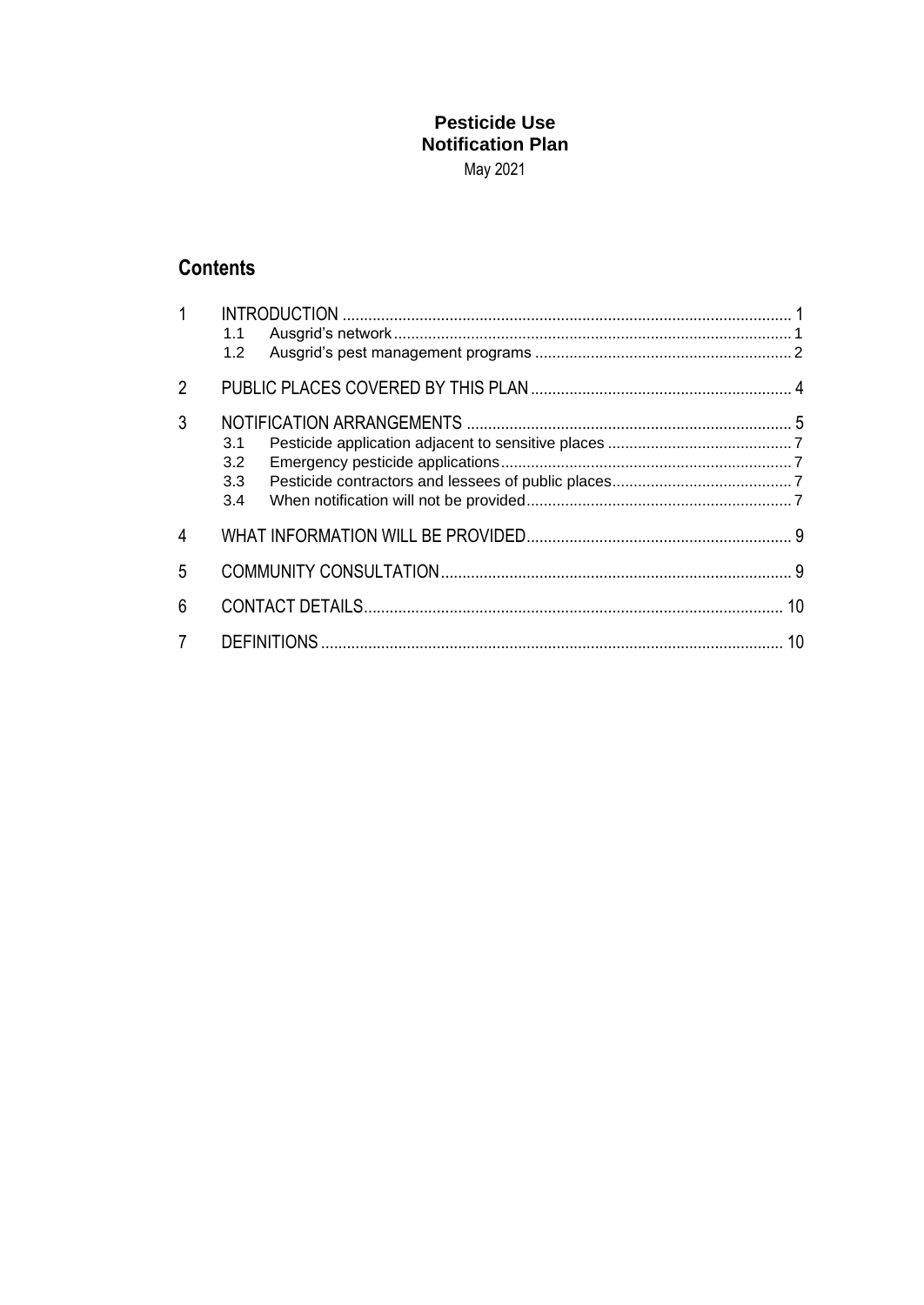### **Pesticide Use Notification Plan**

May 2021

### **Contents**

| $1 \quad$      | 1.2 <sub>2</sub>                      |  |
|----------------|---------------------------------------|--|
| $\overline{2}$ |                                       |  |
| 3              | 3.1<br>3.2<br>3.3 <sup>°</sup><br>3.4 |  |
| $\overline{4}$ |                                       |  |
| 5              |                                       |  |
| 6              |                                       |  |
| $\overline{7}$ |                                       |  |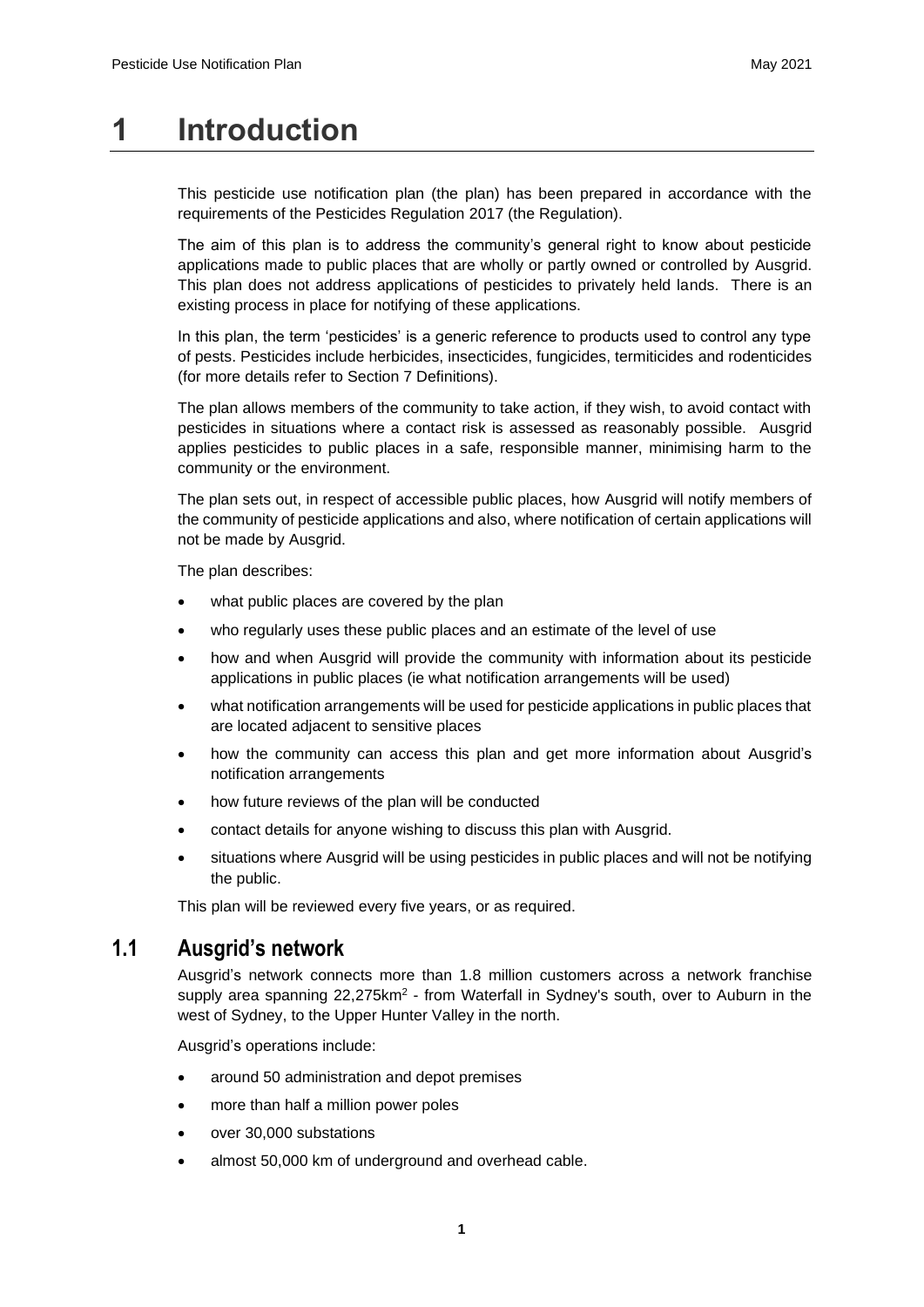## **1 Introduction**

This pesticide use notification plan (the plan) has been prepared in accordance with the requirements of the Pesticides Regulation 2017 (the Regulation).

The aim of this plan is to address the community's general right to know about pesticide applications made to public places that are wholly or partly owned or controlled by Ausgrid. This plan does not address applications of pesticides to privately held lands. There is an existing process in place for notifying of these applications.

In this plan, the term 'pesticides' is a generic reference to products used to control any type of pests. Pesticides include herbicides, insecticides, fungicides, termiticides and rodenticides (for more details refer to Section 7 Definitions).

The plan allows members of the community to take action, if they wish, to avoid contact with pesticides in situations where a contact risk is assessed as reasonably possible. Ausgrid applies pesticides to public places in a safe, responsible manner, minimising harm to the community or the environment.

The plan sets out, in respect of accessible public places, how Ausgrid will notify members of the community of pesticide applications and also, where notification of certain applications will not be made by Ausgrid.

The plan describes:

- what public places are covered by the plan
- who regularly uses these public places and an estimate of the level of use
- how and when Ausgrid will provide the community with information about its pesticide applications in public places (ie what notification arrangements will be used)
- what notification arrangements will be used for pesticide applications in public places that are located adjacent to sensitive places
- how the community can access this plan and get more information about Ausgrid's notification arrangements
- how future reviews of the plan will be conducted
- contact details for anyone wishing to discuss this plan with Ausgrid.
- situations where Ausgrid will be using pesticides in public places and will not be notifying the public.

This plan will be reviewed every five years, or as required.

#### **1.1 Ausgrid's network**

Ausgrid's network connects more than 1.8 million customers across a network franchise supply area spanning 22,275km<sup>2</sup> - from Waterfall in Sydney's south, over to Auburn in the west of Sydney, to the Upper Hunter Valley in the north.

Ausgrid's operations include:

- around 50 administration and depot premises
- more than half a million power poles
- over 30,000 substations
- almost 50,000 km of underground and overhead cable.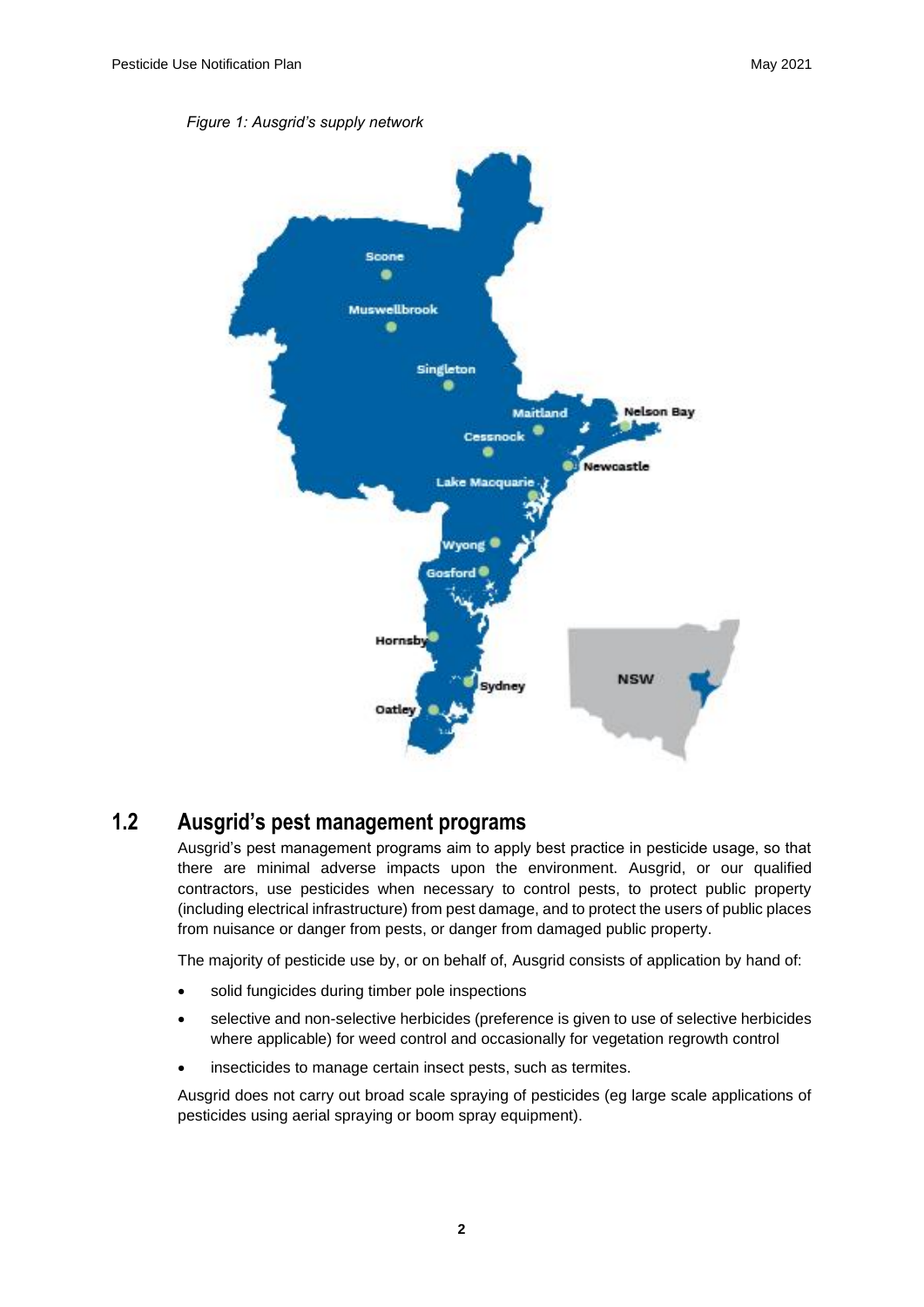

#### **1.2 Ausgrid's pest management programs**

Ausgrid's pest management programs aim to apply best practice in pesticide usage, so that there are minimal adverse impacts upon the environment. Ausgrid, or our qualified contractors, use pesticides when necessary to control pests, to protect public property (including electrical infrastructure) from pest damage, and to protect the users of public places from nuisance or danger from pests, or danger from damaged public property.

The majority of pesticide use by, or on behalf of, Ausgrid consists of application by hand of:

- solid fungicides during timber pole inspections
- selective and non-selective herbicides (preference is given to use of selective herbicides where applicable) for weed control and occasionally for vegetation regrowth control
- insecticides to manage certain insect pests, such as termites.

Ausgrid does not carry out broad scale spraying of pesticides (eg large scale applications of pesticides using aerial spraying or boom spray equipment).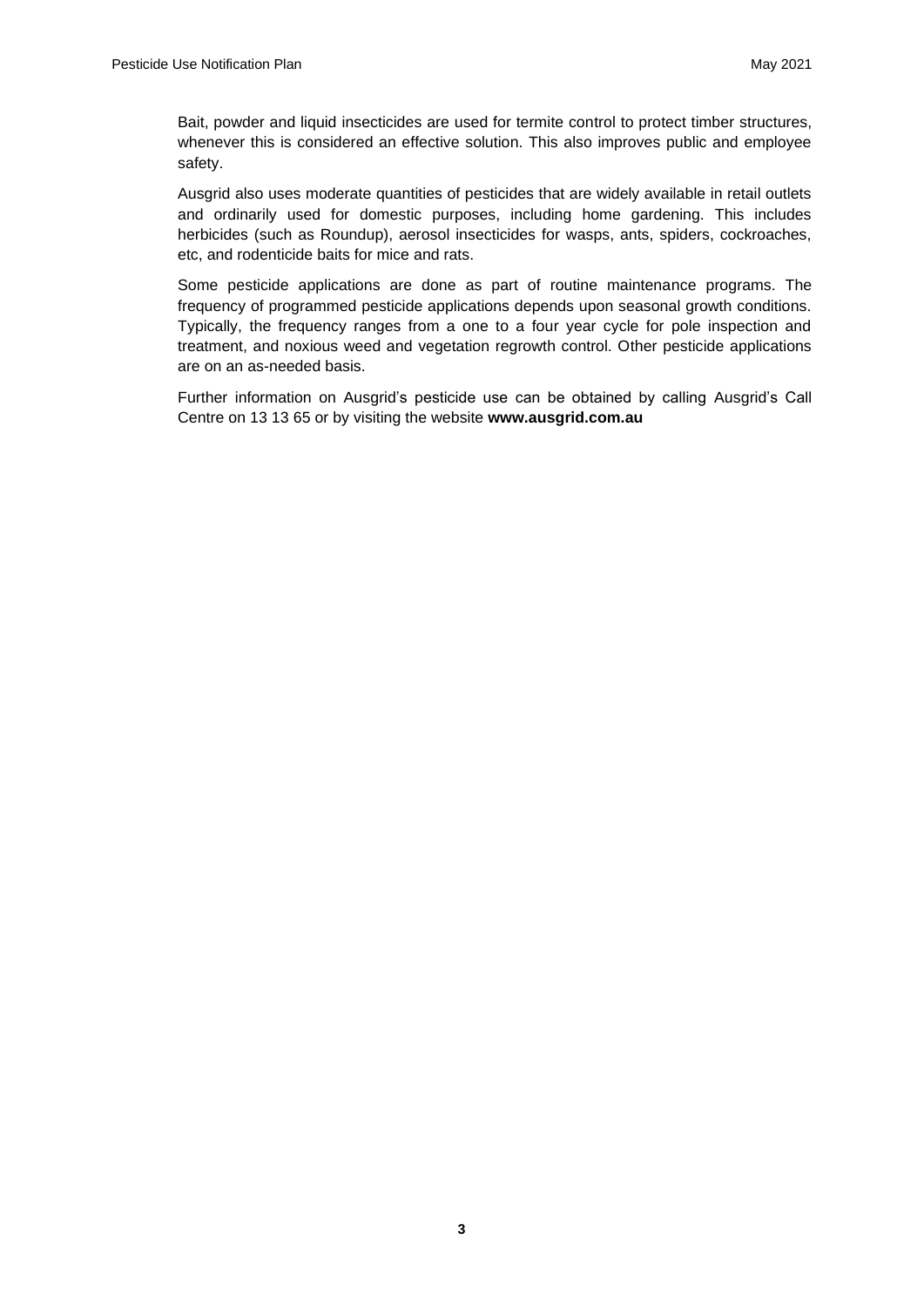Bait, powder and liquid insecticides are used for termite control to protect timber structures, whenever this is considered an effective solution. This also improves public and employee safety.

Ausgrid also uses moderate quantities of pesticides that are widely available in retail outlets and ordinarily used for domestic purposes, including home gardening. This includes herbicides (such as Roundup), aerosol insecticides for wasps, ants, spiders, cockroaches, etc, and rodenticide baits for mice and rats.

Some pesticide applications are done as part of routine maintenance programs. The frequency of programmed pesticide applications depends upon seasonal growth conditions. Typically, the frequency ranges from a one to a four year cycle for pole inspection and treatment, and noxious weed and vegetation regrowth control. Other pesticide applications are on an as-needed basis.

Further information on Ausgrid's pesticide use can be obtained by calling Ausgrid's Call Centre on 13 13 65 or by visiting the website **www.ausgrid.com.au**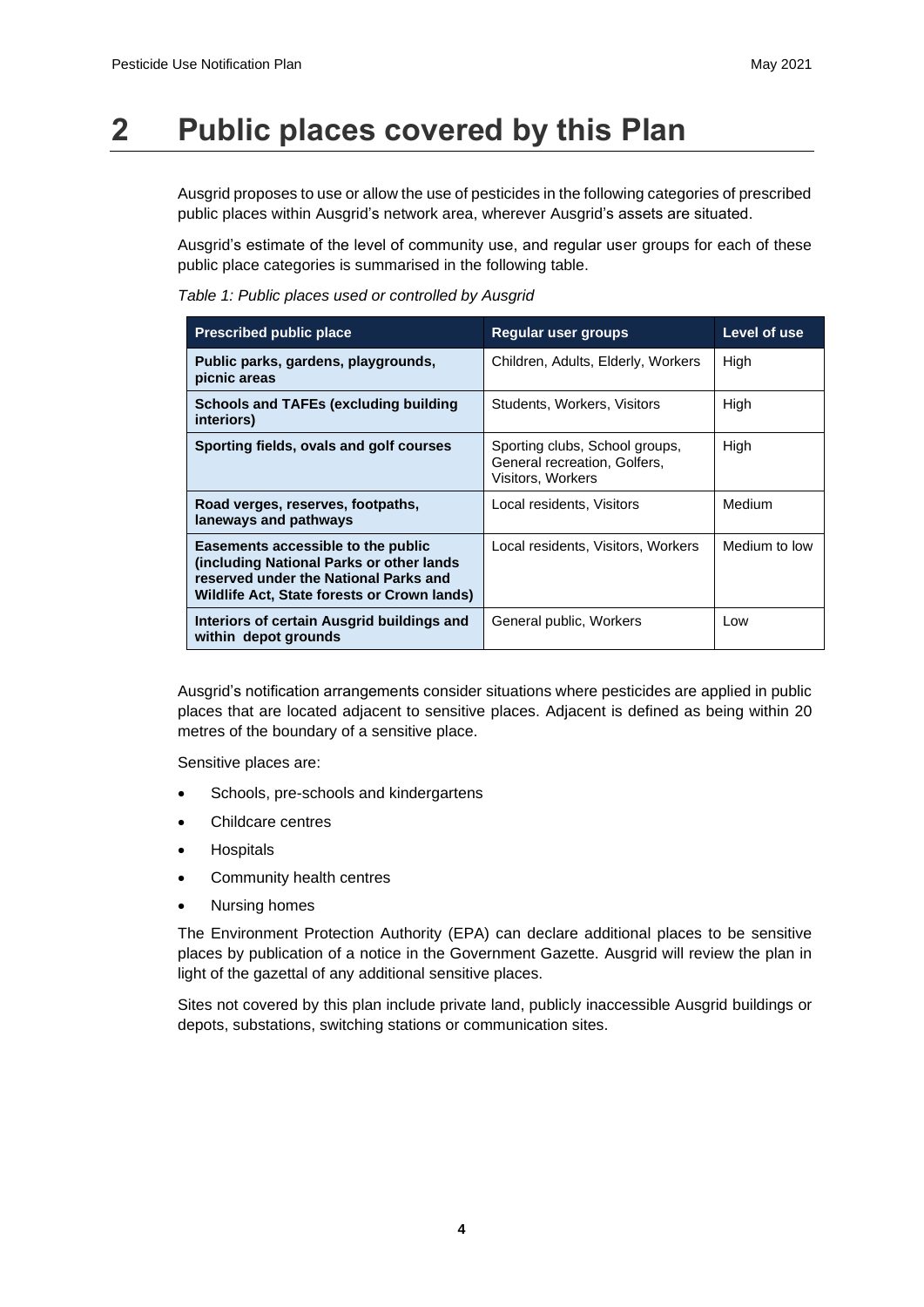# **2 Public places covered by this Plan**

Ausgrid proposes to use or allow the use of pesticides in the following categories of prescribed public places within Ausgrid's network area, wherever Ausgrid's assets are situated.

Ausgrid's estimate of the level of community use, and regular user groups for each of these public place categories is summarised in the following table.

| Table 1: Public places used or controlled by Ausgrid |  |  |  |  |  |
|------------------------------------------------------|--|--|--|--|--|
|------------------------------------------------------|--|--|--|--|--|

| <b>Prescribed public place</b>                                                                                                                                          | Regular user groups                                                                 | Level of use  |
|-------------------------------------------------------------------------------------------------------------------------------------------------------------------------|-------------------------------------------------------------------------------------|---------------|
| Public parks, gardens, playgrounds,<br>picnic areas                                                                                                                     | Children, Adults, Elderly, Workers                                                  | High          |
| <b>Schools and TAFEs (excluding building</b><br>interiors)                                                                                                              | Students, Workers, Visitors                                                         | High          |
| Sporting fields, ovals and golf courses                                                                                                                                 | Sporting clubs, School groups,<br>General recreation. Golfers.<br>Visitors, Workers | High          |
| Road verges, reserves, footpaths,<br>laneways and pathways                                                                                                              | Local residents, Visitors                                                           | Medium        |
| Easements accessible to the public<br>(including National Parks or other lands)<br>reserved under the National Parks and<br>Wildlife Act, State forests or Crown lands) | Local residents, Visitors, Workers                                                  | Medium to low |
| Interiors of certain Ausgrid buildings and<br>within depot grounds                                                                                                      | General public, Workers                                                             | Low           |

Ausgrid's notification arrangements consider situations where pesticides are applied in public places that are located adjacent to sensitive places. Adjacent is defined as being within 20 metres of the boundary of a sensitive place.

Sensitive places are:

- Schools, pre-schools and kindergartens
- Childcare centres
- **Hospitals**
- Community health centres
- Nursing homes

The Environment Protection Authority (EPA) can declare additional places to be sensitive places by publication of a notice in the Government Gazette. Ausgrid will review the plan in light of the gazettal of any additional sensitive places.

Sites not covered by this plan include private land, publicly inaccessible Ausgrid buildings or depots, substations, switching stations or communication sites.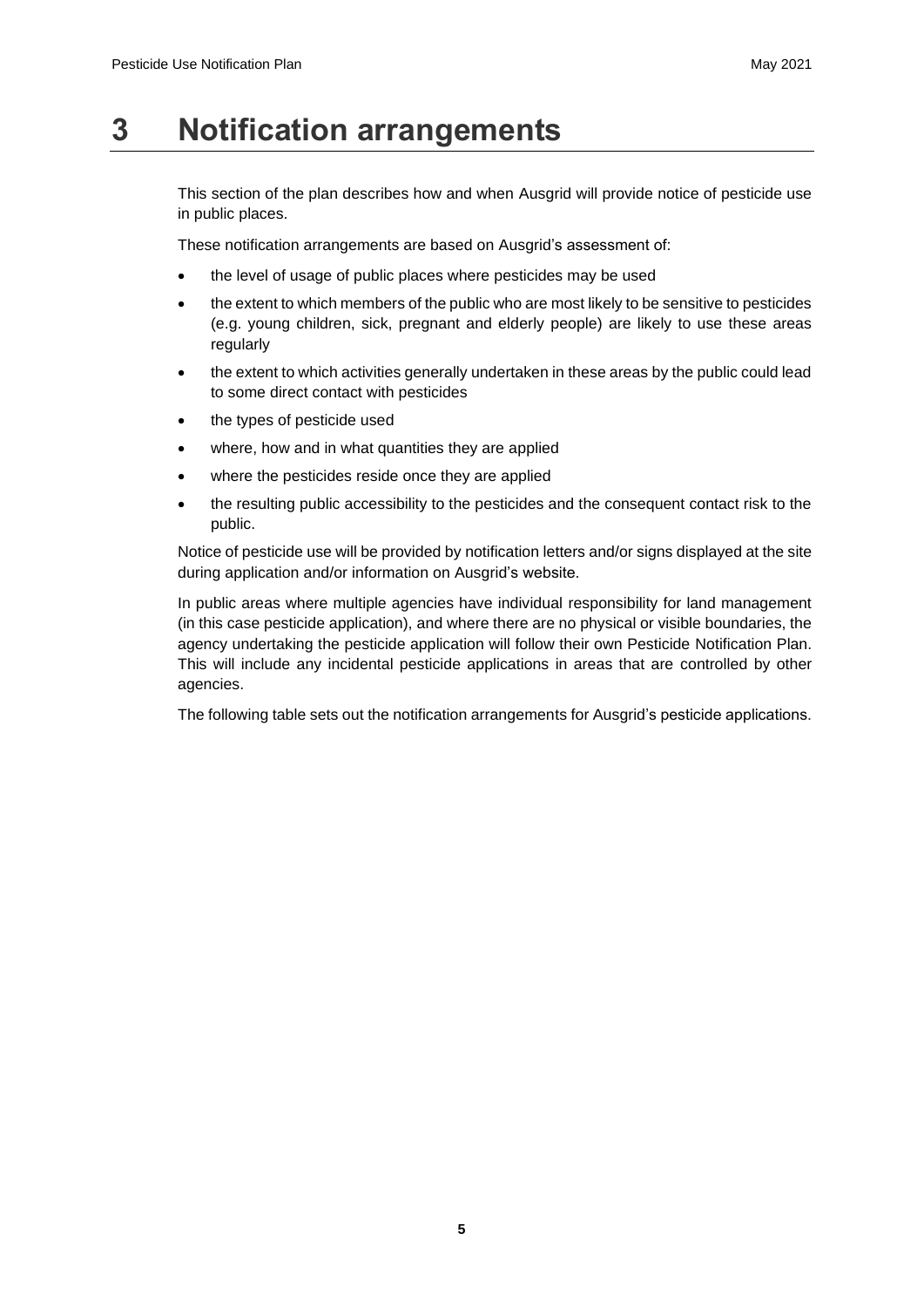# **3 Notification arrangements**

This section of the plan describes how and when Ausgrid will provide notice of pesticide use in public places.

These notification arrangements are based on Ausgrid's assessment of:

- the level of usage of public places where pesticides may be used
- the extent to which members of the public who are most likely to be sensitive to pesticides (e.g. young children, sick, pregnant and elderly people) are likely to use these areas regularly
- the extent to which activities generally undertaken in these areas by the public could lead to some direct contact with pesticides
- the types of pesticide used
- where, how and in what quantities they are applied
- where the pesticides reside once they are applied
- the resulting public accessibility to the pesticides and the consequent contact risk to the public.

Notice of pesticide use will be provided by notification letters and/or signs displayed at the site during application and/or information on Ausgrid's website.

In public areas where multiple agencies have individual responsibility for land management (in this case pesticide application), and where there are no physical or visible boundaries, the agency undertaking the pesticide application will follow their own Pesticide Notification Plan. This will include any incidental pesticide applications in areas that are controlled by other agencies.

The following table sets out the notification arrangements for Ausgrid's pesticide applications.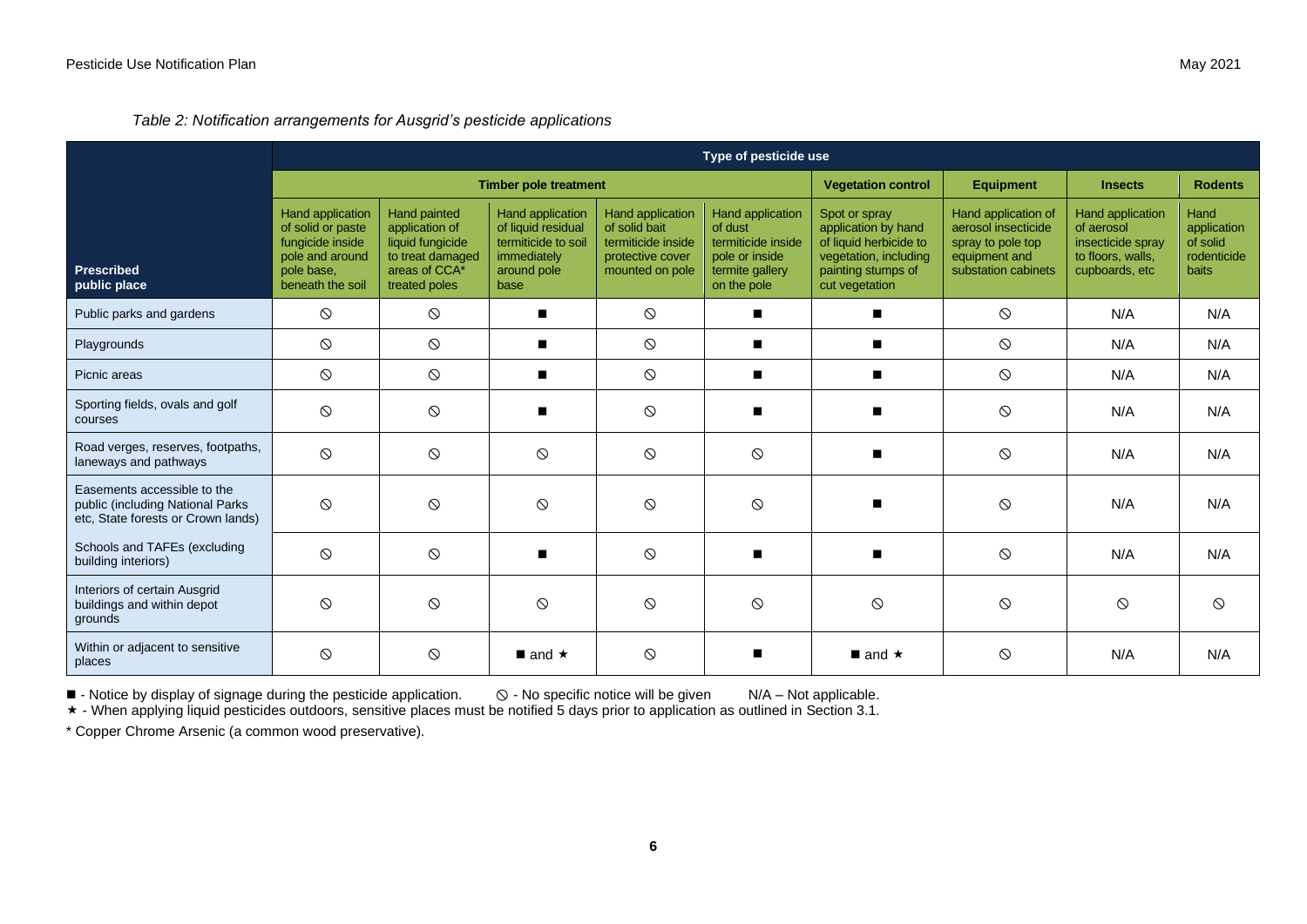*Table 2: Notification arrangements for Ausgrid's pesticide applications*

|                                                                                                       | Type of pesticide use                                                                                                 |                                                                                                          |                                                                                                            |                                                                                                |                                                                                                       |                                                                                                                                 |                                                                                                         |                                                                                            |                                                         |
|-------------------------------------------------------------------------------------------------------|-----------------------------------------------------------------------------------------------------------------------|----------------------------------------------------------------------------------------------------------|------------------------------------------------------------------------------------------------------------|------------------------------------------------------------------------------------------------|-------------------------------------------------------------------------------------------------------|---------------------------------------------------------------------------------------------------------------------------------|---------------------------------------------------------------------------------------------------------|--------------------------------------------------------------------------------------------|---------------------------------------------------------|
|                                                                                                       | <b>Timber pole treatment</b>                                                                                          |                                                                                                          |                                                                                                            |                                                                                                |                                                                                                       | <b>Vegetation control</b>                                                                                                       | <b>Equipment</b>                                                                                        | <b>Insects</b>                                                                             | <b>Rodents</b>                                          |
| <b>Prescribed</b><br>public place                                                                     | <b>Hand application</b><br>of solid or paste<br>fungicide inside<br>pole and around<br>pole base.<br>beneath the soil | Hand painted<br>application of<br>liquid fungicide<br>to treat damaged<br>areas of CCA*<br>treated poles | <b>Hand application</b><br>of liquid residual<br>termiticide to soil<br>immediately<br>around pole<br>base | Hand application<br>of solid bait<br>termiticide inside<br>protective cover<br>mounted on pole | Hand application<br>of dust<br>termiticide inside<br>pole or inside<br>termite gallery<br>on the pole | Spot or spray<br>application by hand<br>of liquid herbicide to<br>vegetation, including<br>painting stumps of<br>cut vegetation | Hand application of<br>aerosol insecticide<br>spray to pole top<br>equipment and<br>substation cabinets | Hand application<br>of aerosol<br>insecticide spray<br>to floors, walls,<br>cupboards, etc | Hand<br>application<br>of solid<br>rodenticide<br>baits |
| Public parks and gardens                                                                              | $\circledcirc$                                                                                                        | $\circ$                                                                                                  |                                                                                                            | $\odot$                                                                                        | $\blacksquare$                                                                                        | $\blacksquare$                                                                                                                  | $\circ$                                                                                                 | N/A                                                                                        | N/A                                                     |
| Playgrounds                                                                                           | $\circledcirc$                                                                                                        | $\circ$                                                                                                  |                                                                                                            | $\odot$                                                                                        |                                                                                                       |                                                                                                                                 | $\circ$                                                                                                 | N/A                                                                                        | N/A                                                     |
| Picnic areas                                                                                          | $\circ$                                                                                                               | $\circ$                                                                                                  |                                                                                                            | $\circ$                                                                                        |                                                                                                       | п                                                                                                                               | $\circ$                                                                                                 | N/A                                                                                        | N/A                                                     |
| Sporting fields, ovals and golf<br>courses                                                            | $\circ$                                                                                                               | $\circ$                                                                                                  |                                                                                                            | $\circ$                                                                                        |                                                                                                       |                                                                                                                                 | $\circ$                                                                                                 | N/A                                                                                        | N/A                                                     |
| Road verges, reserves, footpaths,<br>laneways and pathways                                            | $\circledcirc$                                                                                                        | $\circ$                                                                                                  | $\circ$                                                                                                    | $\circ$                                                                                        | $\circ$                                                                                               |                                                                                                                                 | $\circ$                                                                                                 | N/A                                                                                        | N/A                                                     |
| Easements accessible to the<br>public (including National Parks<br>etc, State forests or Crown lands) | $\circledcirc$                                                                                                        | $\circ$                                                                                                  | $\circ$                                                                                                    | $\odot$                                                                                        | $\circ$                                                                                               |                                                                                                                                 | $\circ$                                                                                                 | N/A                                                                                        | N/A                                                     |
| Schools and TAFEs (excluding<br>building interiors)                                                   | $\circledcirc$                                                                                                        | $\circ$                                                                                                  |                                                                                                            | $\circ$                                                                                        |                                                                                                       |                                                                                                                                 | $\circ$                                                                                                 | N/A                                                                                        | N/A                                                     |
| Interiors of certain Ausgrid<br>buildings and within depot<br>grounds                                 | $\circ$                                                                                                               | $\circ$                                                                                                  | $\circ$                                                                                                    | $\circ$                                                                                        | $\circ$                                                                                               | $\circ$                                                                                                                         | $\circ$                                                                                                 | $\circledcirc$                                                                             | $\circ$                                                 |
| Within or adjacent to sensitive<br>places                                                             | $\circ$                                                                                                               | $\circ$                                                                                                  | $\blacksquare$ and $\star$                                                                                 | $\circ$                                                                                        |                                                                                                       | $\blacksquare$ and $\star$                                                                                                      | $\circ$                                                                                                 | N/A                                                                                        | N/A                                                     |

 $\blacksquare$  - Notice by display of signage during the pesticide application.  $\heartsuit$  - No specific notice will be given  $N/A$  – Not applicable.

- When applying liquid pesticides outdoors, sensitive places must be notified 5 days prior to application as outlined in Section 3.1.

\* Copper Chrome Arsenic (a common wood preservative).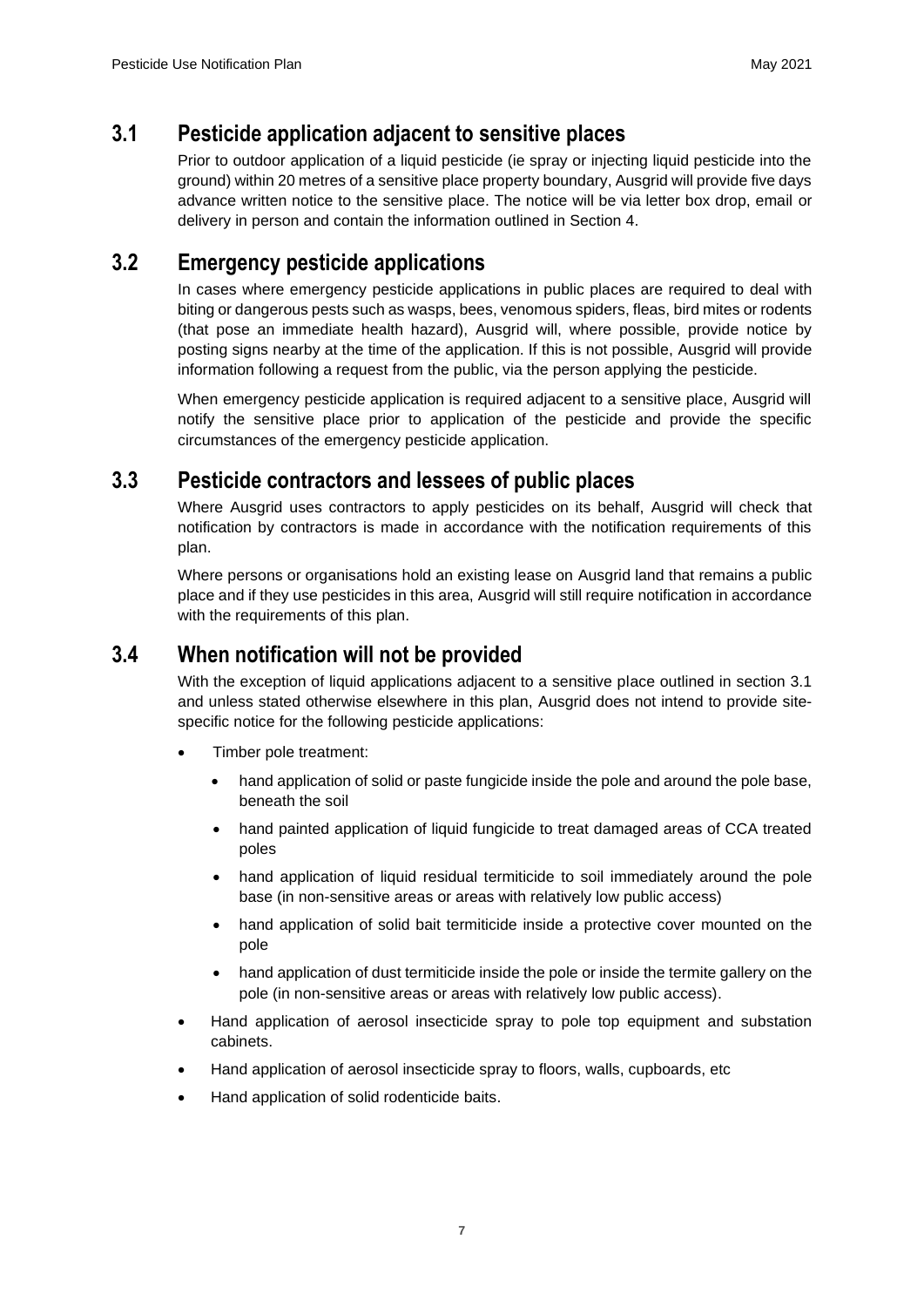#### **3.1 Pesticide application adjacent to sensitive places**

Prior to outdoor application of a liquid pesticide (ie spray or injecting liquid pesticide into the ground) within 20 metres of a sensitive place property boundary, Ausgrid will provide five days advance written notice to the sensitive place. The notice will be via letter box drop, email or delivery in person and contain the information outlined in Section 4.

#### **3.2 Emergency pesticide applications**

In cases where emergency pesticide applications in public places are required to deal with biting or dangerous pests such as wasps, bees, venomous spiders, fleas, bird mites or rodents (that pose an immediate health hazard), Ausgrid will, where possible, provide notice by posting signs nearby at the time of the application. If this is not possible, Ausgrid will provide information following a request from the public, via the person applying the pesticide.

When emergency pesticide application is required adjacent to a sensitive place, Ausgrid will notify the sensitive place prior to application of the pesticide and provide the specific circumstances of the emergency pesticide application.

#### **3.3 Pesticide contractors and lessees of public places**

Where Ausgrid uses contractors to apply pesticides on its behalf, Ausgrid will check that notification by contractors is made in accordance with the notification requirements of this plan.

Where persons or organisations hold an existing lease on Ausgrid land that remains a public place and if they use pesticides in this area, Ausgrid will still require notification in accordance with the requirements of this plan.

#### **3.4 When notification will not be provided**

With the exception of liquid applications adjacent to a sensitive place outlined in section 3.1 and unless stated otherwise elsewhere in this plan, Ausgrid does not intend to provide sitespecific notice for the following pesticide applications:

- Timber pole treatment:
	- hand application of solid or paste fungicide inside the pole and around the pole base, beneath the soil
	- hand painted application of liquid fungicide to treat damaged areas of CCA treated poles
	- hand application of liquid residual termiticide to soil immediately around the pole base (in non-sensitive areas or areas with relatively low public access)
	- hand application of solid bait termiticide inside a protective cover mounted on the pole
	- hand application of dust termiticide inside the pole or inside the termite gallery on the pole (in non-sensitive areas or areas with relatively low public access).
- Hand application of aerosol insecticide spray to pole top equipment and substation cabinets.
- Hand application of aerosol insecticide spray to floors, walls, cupboards, etc
- Hand application of solid rodenticide baits.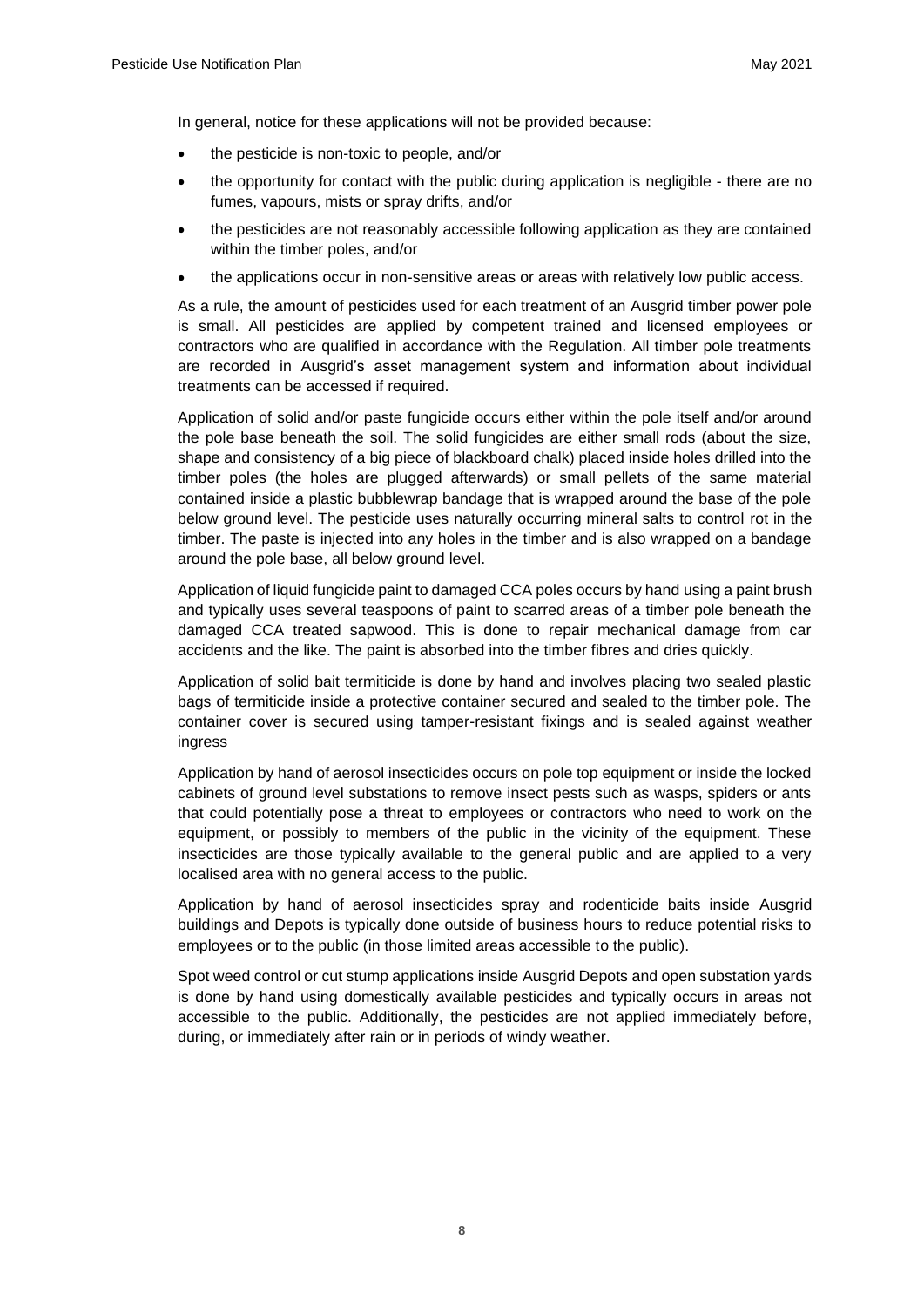In general, notice for these applications will not be provided because:

- the pesticide is non-toxic to people, and/or
- the opportunity for contact with the public during application is negligible there are no fumes, vapours, mists or spray drifts, and/or
- the pesticides are not reasonably accessible following application as they are contained within the timber poles, and/or
- the applications occur in non-sensitive areas or areas with relatively low public access.

As a rule, the amount of pesticides used for each treatment of an Ausgrid timber power pole is small. All pesticides are applied by competent trained and licensed employees or contractors who are qualified in accordance with the Regulation. All timber pole treatments are recorded in Ausgrid's asset management system and information about individual treatments can be accessed if required.

Application of solid and/or paste fungicide occurs either within the pole itself and/or around the pole base beneath the soil. The solid fungicides are either small rods (about the size, shape and consistency of a big piece of blackboard chalk) placed inside holes drilled into the timber poles (the holes are plugged afterwards) or small pellets of the same material contained inside a plastic bubblewrap bandage that is wrapped around the base of the pole below ground level. The pesticide uses naturally occurring mineral salts to control rot in the timber. The paste is injected into any holes in the timber and is also wrapped on a bandage around the pole base, all below ground level.

Application of liquid fungicide paint to damaged CCA poles occurs by hand using a paint brush and typically uses several teaspoons of paint to scarred areas of a timber pole beneath the damaged CCA treated sapwood. This is done to repair mechanical damage from car accidents and the like. The paint is absorbed into the timber fibres and dries quickly.

Application of solid bait termiticide is done by hand and involves placing two sealed plastic bags of termiticide inside a protective container secured and sealed to the timber pole. The container cover is secured using tamper-resistant fixings and is sealed against weather ingress

Application by hand of aerosol insecticides occurs on pole top equipment or inside the locked cabinets of ground level substations to remove insect pests such as wasps, spiders or ants that could potentially pose a threat to employees or contractors who need to work on the equipment, or possibly to members of the public in the vicinity of the equipment. These insecticides are those typically available to the general public and are applied to a very localised area with no general access to the public.

Application by hand of aerosol insecticides spray and rodenticide baits inside Ausgrid buildings and Depots is typically done outside of business hours to reduce potential risks to employees or to the public (in those limited areas accessible to the public).

Spot weed control or cut stump applications inside Ausgrid Depots and open substation yards is done by hand using domestically available pesticides and typically occurs in areas not accessible to the public. Additionally, the pesticides are not applied immediately before, during, or immediately after rain or in periods of windy weather.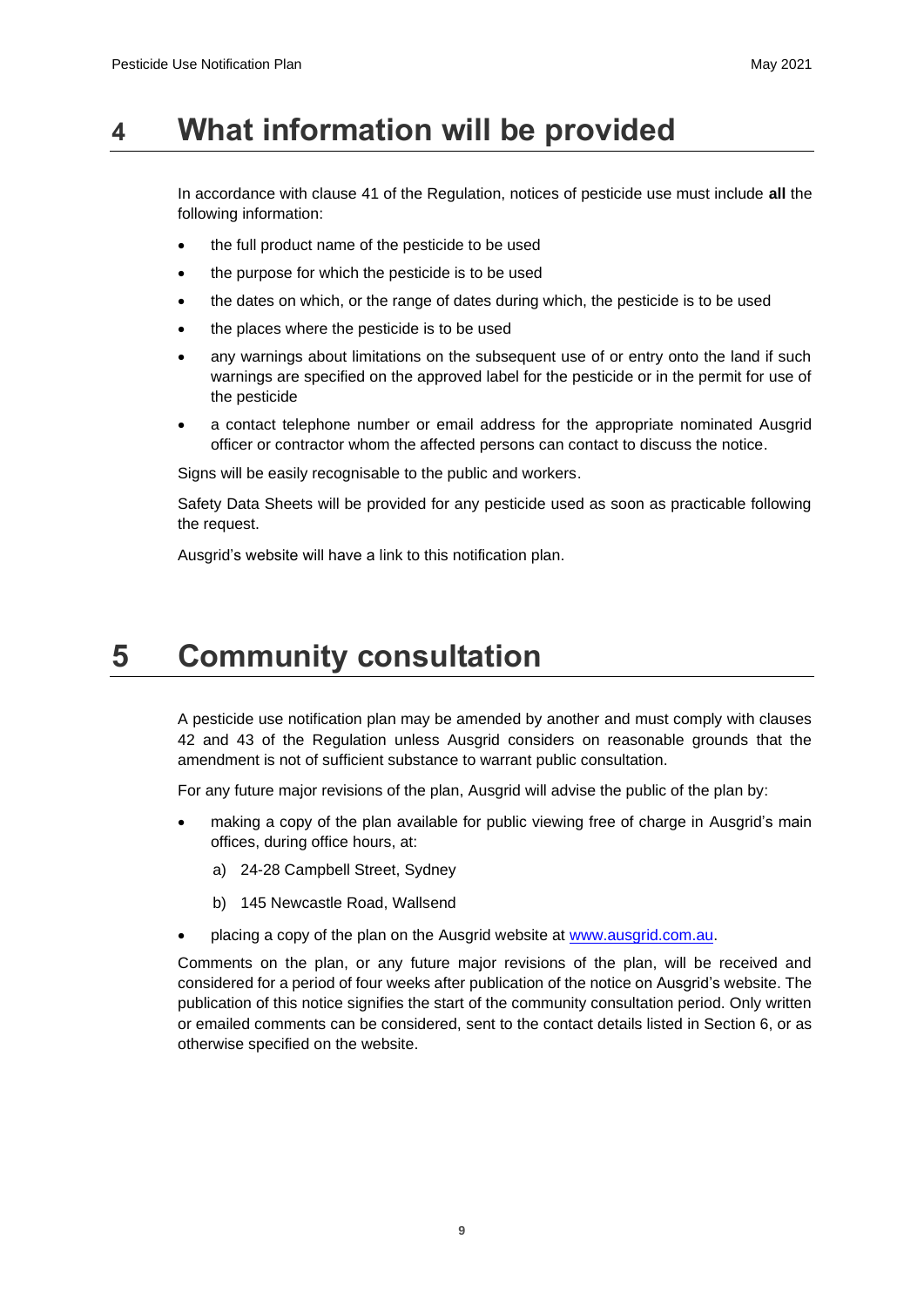### **4 What information will be provided**

In accordance with clause 41 of the Regulation, notices of pesticide use must include **all** the following information:

- the full product name of the pesticide to be used
- the purpose for which the pesticide is to be used
- the dates on which, or the range of dates during which, the pesticide is to be used
- the places where the pesticide is to be used
- any warnings about limitations on the subsequent use of or entry onto the land if such warnings are specified on the approved label for the pesticide or in the permit for use of the pesticide
- a contact telephone number or email address for the appropriate nominated Ausgrid officer or contractor whom the affected persons can contact to discuss the notice.

Signs will be easily recognisable to the public and workers.

Safety Data Sheets will be provided for any pesticide used as soon as practicable following the request.

Ausgrid's website will have a link to this notification plan.

# **5 Community consultation**

A pesticide use notification plan may be amended by another and must comply with clauses 42 and 43 of the Regulation unless Ausgrid considers on reasonable grounds that the amendment is not of sufficient substance to warrant public consultation.

For any future major revisions of the plan, Ausgrid will advise the public of the plan by:

- making a copy of the plan available for public viewing free of charge in Ausgrid's main offices, during office hours, at:
	- a) 24-28 Campbell Street, Sydney
	- b) 145 Newcastle Road, Wallsend
- placing a copy of the plan on the Ausgrid website at [www.ausgrid.com.au.](http://www.ausgrid.com.au/)

Comments on the plan, or any future major revisions of the plan, will be received and considered for a period of four weeks after publication of the notice on Ausgrid's website. The publication of this notice signifies the start of the community consultation period. Only written or emailed comments can be considered, sent to the contact details listed in Section 6, or as otherwise specified on the website.